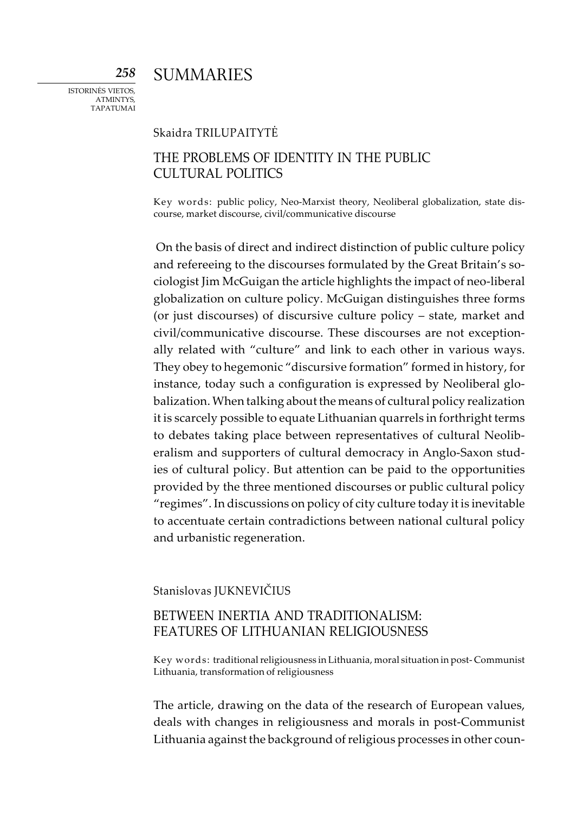**SUMMARIES** 

*258*

## Skaidra TRILUPAITYTĖ

# THE PROBLEMS OF IDENTITY IN THE PUBLIC CULTURAL POLITICS

Key words: public policy, Neo-Marxist theory, Neoliberal globalization, state discourse, market discourse, civil/communicative discourse

On the basis of direct and indirect distinction of public culture policy and refereeing to the discourses formulated by the Great Britain's sociologist Jim McGuigan the article highlights the impact of neo-liberal globalization on culture policy. McGuigan distinguishes three forms (or just discourses) of discursive culture policy – state, market and civil/communicative discourse. These discourses are not exceptionally related with "culture" and link to each other in various ways. They obey to hegemonic "discursive formation" formed in history, for instance, today such a configuration is expressed by Neoliberal globalization. When talking about the means of cultural policy realization it is scarcely possible to equate Lithuanian quarrels in forthright terms to debates taking place between representatives of cultural Neoliberalism and supporters of cultural democracy in Anglo-Saxon studies of cultural policy. But attention can be paid to the opportunities provided by the three mentioned discourses or public cultural policy "regimes". In discussions on policy of city culture today it is inevitable to accentuate certain contradictions between national cultural policy and urbanistic regeneration.

Stanislovas JUKNEVIČIUS

# BETWEEN INERTIA AND TRADITIONALISM: FEATURES OF LITHUANIAN RELIGIOUSNESS

Key words: traditional religiousness in Lithuania, moral situation in post- Communist Lithuania, transformation of religiousness

The article, drawing on the data of the research of European values, deals with changes in religiousness and morals in post-Communist Lithuania against the background of religious processes in other coun-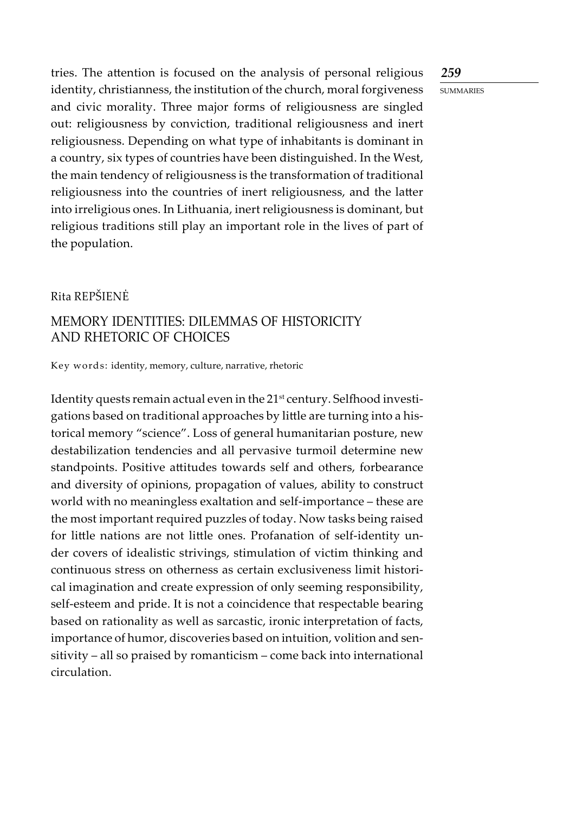## *259*

**SUMMARIES** 

tries. The attention is focused on the analysis of personal religious identity, christianness, the institution of the church, moral forgiveness and civic morality. Three major forms of religiousness are singled out: religiousness by conviction, traditional religiousness and inert religiousness. Depending on what type of inhabitants is dominant in a country, six types of countries have been distinguished. In the West, the main tendency of religiousness is the transformation of traditional religiousness into the countries of inert religiousness, and the latter into irreligious ones. In Lithuania, inert religiousness is dominant, but religious traditions still play an important role in the lives of part of the population.

## Rita Repšienė

## MEMORY IDENTITIES: DILEMMAS OF HISTORICITY AND RHETORIC OF CHOICES

Key words: identity, memory, culture, narrative, rhetoric

Identity quests remain actual even in the 21<sup>st</sup> century. Selfhood investigations based on traditional approaches by little are turning into a historical memory "science". Loss of general humanitarian posture, new destabilization tendencies and all pervasive turmoil determine new standpoints. Positive attitudes towards self and others, forbearance and diversity of opinions, propagation of values, ability to construct world with no meaningless exaltation and self-importance – these are the most important required puzzles of today. Now tasks being raised for little nations are not little ones. Profanation of self-identity under covers of idealistic strivings, stimulation of victim thinking and continuous stress on otherness as certain exclusiveness limit historical imagination and create expression of only seeming responsibility, self-esteem and pride. It is not a coincidence that respectable bearing based on rationality as well as sarcastic, ironic interpretation of facts, importance of humor, discoveries based on intuition, volition and sensitivity – all so praised by romanticism – come back into international circulation.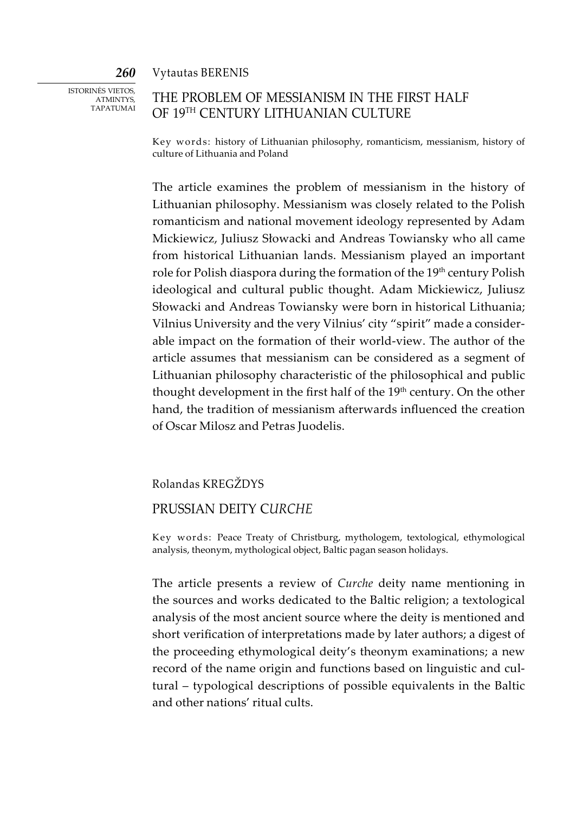#### *260* Vytautas BERENIS

Istorinės vietos, ATMINTYS, tapatumai

# THE PROBLEM OF MESSIANISM IN THE FIRST HALF OF 19TH CENTURY LITHUANIAN CULTURE

Key words: history of Lithuanian philosophy, romanticism, messianism, history of culture of Lithuania and Poland

The article examines the problem of messianism in the history of Lithuanian philosophy. Messianism was closely related to the Polish romanticism and national movement ideology represented by Adam Mickiewicz, Juliusz Słowacki and Andreas Towiansky who all came from historical Lithuanian lands. Messianism played an important role for Polish diaspora during the formation of the 19<sup>th</sup> century Polish ideological and cultural public thought. Adam Mickiewicz, Juliusz Słowacki and Andreas Towiansky were born in historical Lithuania; Vilnius University and the very Vilnius' city "spirit" made a considerable impact on the formation of their world-view. The author of the article assumes that messianism can be considered as a segment of Lithuanian philosophy characteristic of the philosophical and public thought development in the first half of the 19<sup>th</sup> century. On the other hand, the tradition of messianism afterwards influenced the creation of Oscar Milosz and Petras Juodelis.

### Rolandas Kregždys

## PRUSSIAN DEiTY C*URCHE*

Key words: Peace Treaty of Christburg, mythologem, textological, ethymological analysis, theonym, mythological object, Baltic pagan season holidays.

The article presents a review of *Curche* deity name mentioning in the sources and works dedicated to the Baltic religion; a textological analysis of the most ancient source where the deity is mentioned and short verification of interpretations made by later authors; a digest of the proceeding ethymological deity's theonym examinations; a new record of the name origin and functions based on linguistic and cultural – typological descriptions of possible equivalents in the Baltic and other nations' ritual cults.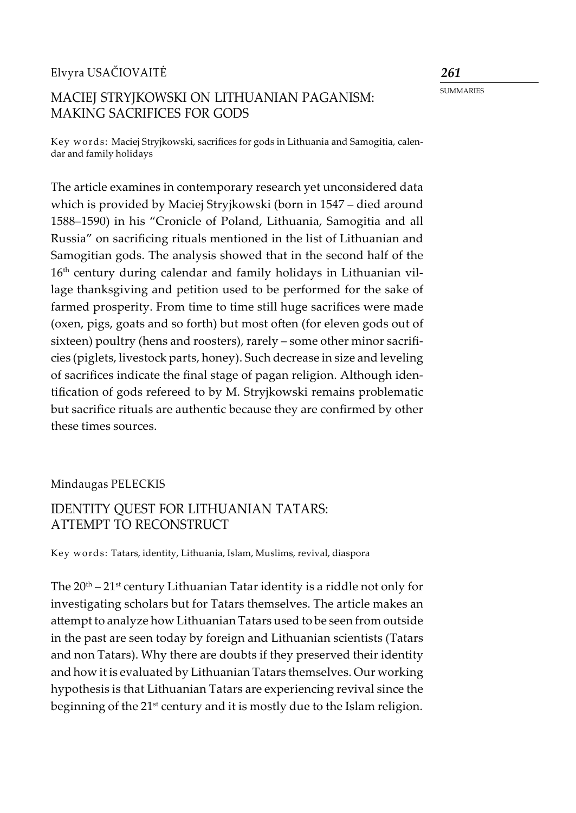## Elvyra Usačiovaitė

# MACIEJ STRYJKOWSKI ON LITHUANIAN PAGANISM: MAKING SACRIFICES FOR GODS

Key words: Maciej Stryjkowski, sacrifices for gods in Lithuania and Samogitia, calendar and family holidays

The article examines in contemporary research yet unconsidered data which is provided by Maciej Stryjkowski (born in 1547 – died around 1588–1590) in his "Cronicle of Poland, Lithuania, Samogitia and all Russia" on sacrificing rituals mentioned in the list of Lithuanian and Samogitian gods. The analysis showed that in the second half of the 16<sup>th</sup> century during calendar and family holidays in Lithuanian village thanksgiving and petition used to be performed for the sake of farmed prosperity. From time to time still huge sacrifices were made (oxen, pigs, goats and so forth) but most often (for eleven gods out of sixteen) poultry (hens and roosters), rarely – some other minor sacrificies (piglets, livestock parts, honey). Such decrease in size and leveling of sacrifices indicate the final stage of pagan religion. Although identification of gods refereed to by M. Stryjkowski remains problematic but sacrifice rituals are authentic because they are confirmed by other these times sources.

## Mindaugas PELECKIS

# IDENTITY QUEST FOR LITHUANIAN TATARS: ATTEMPT TO RECONSTRUCT

Key words: Tatars, identity, Lithuania, Islam, Muslims, revival, diaspora

The  $20<sup>th</sup> - 21<sup>st</sup>$  century Lithuanian Tatar identity is a riddle not only for investigating scholars but for Tatars themselves. The article makes an attempt to analyze how Lithuanian Tatars used to be seen from outside in the past are seen today by foreign and Lithuanian scientists (Tatars and non Tatars). Why there are doubts if they preserved their identity and how it is evaluated by Lithuanian Tatars themselves. Our working hypothesis is that Lithuanian Tatars are experiencing revival since the beginning of the 21<sup>st</sup> century and it is mostly due to the Islam religion.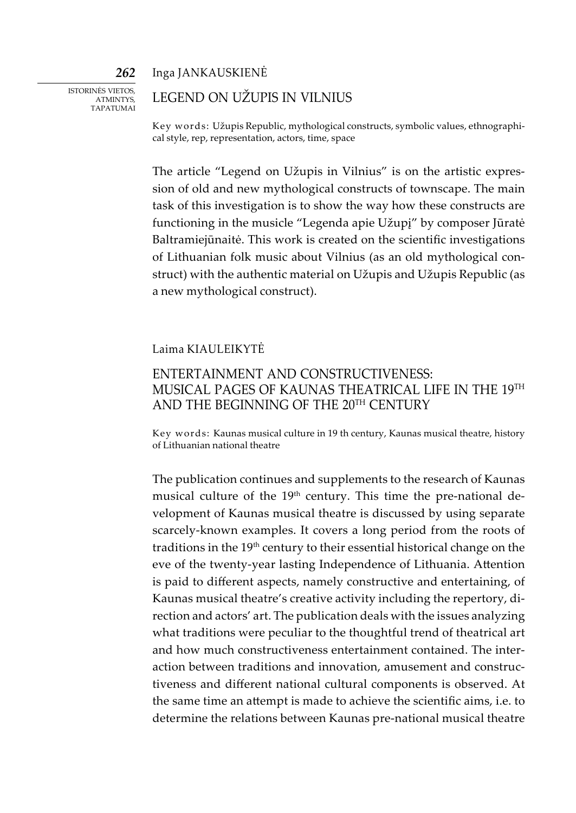Inga Jankauskienė

Istorinės vietos, ATMINTYS, tapatumai

*262*

## LEGEND ON UŽUPIS IN VILNIUS

Key words: Užupis Republic, mythological constructs, symbolic values, ethnographical style, rep, representation, actors, time, space

The article "Legend on Užupis in Vilnius" is on the artistic expression of old and new mythological constructs of townscape. The main task of this investigation is to show the way how these constructs are functioning in the musicle "Legenda apie Užupį" by composer Jūratė Baltramiejūnaitė. This work is created on the scientific investigations of Lithuanian folk music about Vilnius (as an old mythological construct) with the authentic material on Užupis and Užupis Republic (as a new mythological construct).

## Laima Kiauleikytė

## ENTERTAINMENT AND CONSTRUCTIVENESS: MUSICAL PAGES OF KAUNAS THEATRICAL LIFE IN THE 19TH AND THE BEGINNING OF THE 20TH CENTURY

Key words: Kaunas musical culture in 19 th century, Kaunas musical theatre, history of Lithuanian national theatre

The publication continues and supplements to the research of Kaunas musical culture of the 19<sup>th</sup> century. This time the pre-national development of Kaunas musical theatre is discussed by using separate scarcely-known examples. It covers a long period from the roots of traditions in the 19<sup>th</sup> century to their essential historical change on the eve of the twenty-year lasting Independence of Lithuania. Attention is paid to different aspects, namely constructive and entertaining, of Kaunas musical theatre's creative activity including the repertory, direction and actors' art. The publication deals with the issues analyzing what traditions were peculiar to the thoughtful trend of theatrical art and how much constructiveness entertainment contained. The interaction between traditions and innovation, amusement and constructiveness and different national cultural components is observed. At the same time an attempt is made to achieve the scientific aims, i.e. to determine the relations between Kaunas pre-national musical theatre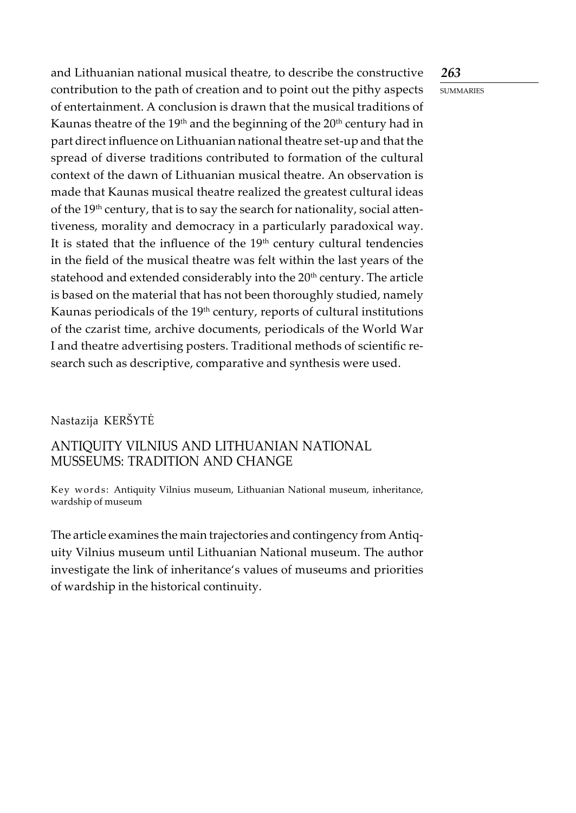## *263*

**SUMMARIES** 

and Lithuanian national musical theatre, to describe the constructive contribution to the path of creation and to point out the pithy aspects of entertainment. A conclusion is drawn that the musical traditions of Kaunas theatre of the  $19<sup>th</sup>$  and the beginning of the  $20<sup>th</sup>$  century had in part direct influence on Lithuanian national theatre set-up and that the spread of diverse traditions contributed to formation of the cultural context of the dawn of Lithuanian musical theatre. An observation is made that Kaunas musical theatre realized the greatest cultural ideas of the 19<sup>th</sup> century, that is to say the search for nationality, social attentiveness, morality and democracy in a particularly paradoxical way. It is stated that the influence of the  $19<sup>th</sup>$  century cultural tendencies in the field of the musical theatre was felt within the last years of the statehood and extended considerably into the 20<sup>th</sup> century. The article is based on the material that has not been thoroughly studied, namely Kaunas periodicals of the 19<sup>th</sup> century, reports of cultural institutions of the czarist time, archive documents, periodicals of the World War I and theatre advertising posters. Traditional methods of scientific research such as descriptive, comparative and synthesis were used.

# Nastazija KERŠYTĖ

# ANTIQUITY VILNIUS AND LITHUANIAN NATIONAL MUSSEUMS: TRADITION AND CHANGE

Key words: Antiquity Vilnius museum, Lithuanian National museum, inheritance, wardship of museum

The article examines the main trajectories and contingency from Antiquity Vilnius museum until Lithuanian National museum. The author investigate the link of inheritance's values of museums and priorities of wardship in the historical continuity.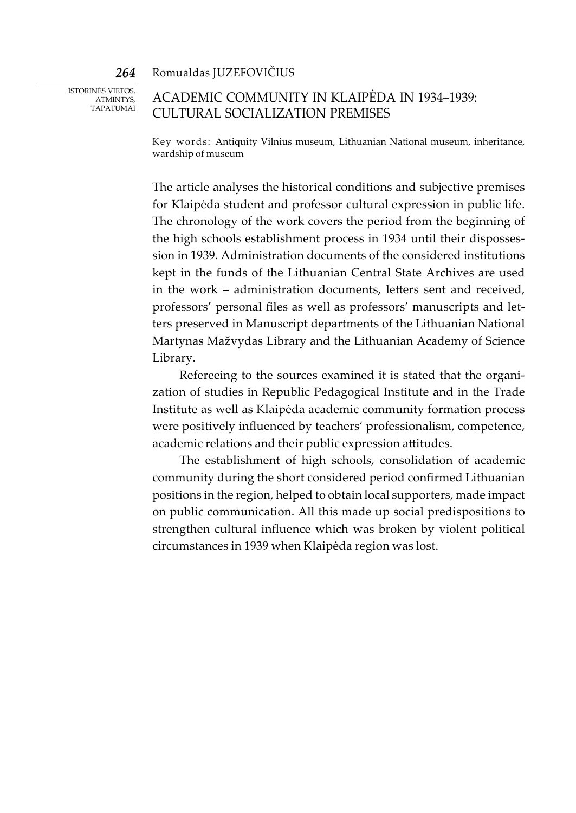Romualdas Juzefovičius

Istorinės vietos, ATMINTYS. tapatumai

*264*

# ACADEMIC COMMUNITY IN KLAIPĖDA IN 1934–1939: CULTURAL SOCIALIZATION PREMISES

Key words: Antiquity Vilnius museum, Lithuanian National museum, inheritance, wardship of museum

The article analyses the historical conditions and subjective premises for Klaipėda student and professor cultural expression in public life. The chronology of the work covers the period from the beginning of the high schools establishment process in 1934 until their dispossession in 1939. Administration documents of the considered institutions kept in the funds of the Lithuanian Central State Archives are used in the work – administration documents, letters sent and received, professors' personal files as well as professors' manuscripts and letters preserved in Manuscript departments of the Lithuanian National Martynas Mažvydas Library and the Lithuanian Academy of Science Library.

Refereeing to the sources examined it is stated that the organization of studies in Republic Pedagogical Institute and in the Trade Institute as well as Klaipėda academic community formation process were positively influenced by teachers' professionalism, competence, academic relations and their public expression attitudes.

The establishment of high schools, consolidation of academic community during the short considered period confirmed Lithuanian positions in the region, helped to obtain local supporters, made impact on public communication. All this made up social predispositions to strengthen cultural influence which was broken by violent political circumstances in 1939 when Klaipėda region was lost.